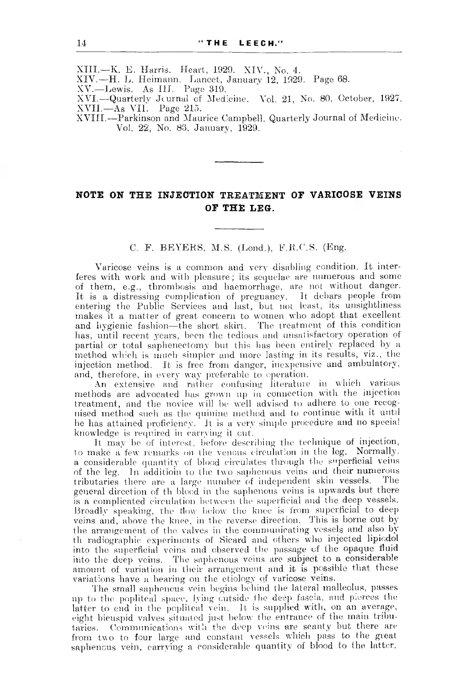XIII. — K. E. Harris. Heart, 1929. XIV., No. 4.

XIV. —H. L. Heimann. Lancet, January 12, 1929. Page 68.

XV. — Lewis. As III. Page 319.

XVI.--Quarterly Journal of Medicine. Vol. 21, No. 80, October, 1927. XVII. — As VIL Page 215.

XVIII. —Parkinson and Maurice Campbell. Quarterly Journal of Medicine. Vol. 22, No. 88, January, 1929.

## **NOTE ON THE INJECTION TREATMENT OF VARICOSE VEINS OF THE LEG.**

C. F. BEYERS, M.S. (Lond.), F.R.C.S. (Eng.

Varicose veins is a common and very disabling condition. It interferes with work and with pleasure; its sequelae are numerous and some of them, e.g., thrombosis and haemorrhage, are not without danger. It is a distressing complication of pregnancy. It debars people from entering the Public Services and last, but not least, its unsightliness makes it a matter of great concern to women who adopt that excellent and hygienic fashion—the short skirt. The treatment of this condition has, until recent years, been the tedious and unsatisfactory operation of partial or total saphenectomy but this has been entirely replaced by a method which is much simpler and more lasting in its results, viz., the injection method. It is free from danger, inexpensive and ambulatory, and, therefore, in every way preferable to operation.

An extensive and rather confusing literature in which various methods are advocated has grown up in connection witli the injection treatment, and the novice will be well advised to adhere to one recognised method such as the quinine method and to continue with it until he has attained proficiency. It is a very simple procedure and no special knowledge is required in carrying it cut.

It may be of interest, before describing the technique of injection, to make a few remarks on the venous circulation in the leg. Normally, a considerable quantity of blood circulates through the superficial veins of the leg. In addition to the two saphenous veins and their numerous<br>tributaries there are a large number of independent skin vessels. The tributaries there are a large number of independent skin vessels. general direction of th blood in the saphenous veins is upwards but there is a complicated circulation between the superficial and the deep vessels. Broadly speaking, the flow below the knee is from superficial to deep veins and, above the knee, in the reverse direction. This is borne out by the arrangement of the valves in the communicating vessels and also by tli radiographic experiments of Sicard and others who injected lipicdol into the superficial veins and observed the passage of the opaque fluid into the deep veins. The saphenous veins are subject to a considerable amount of variation in their arrangement and it is possible that these variations have a bearing on the etiology of varicose veins.

The small saphencus vein begins behind the lateral malleolus, passes up to the popliteal space, lying outside the deep fascia, and pierces the latter to end in the popliteal vein. It is supplied with, on an average, eight bicuspid valves situated just below the entrance of the main tributaries. Communications with the deep veins are scanty but there are from two to four large and constant vessels which pass to the great saphenous vein, carrying a considerable quantity of blood to the latter.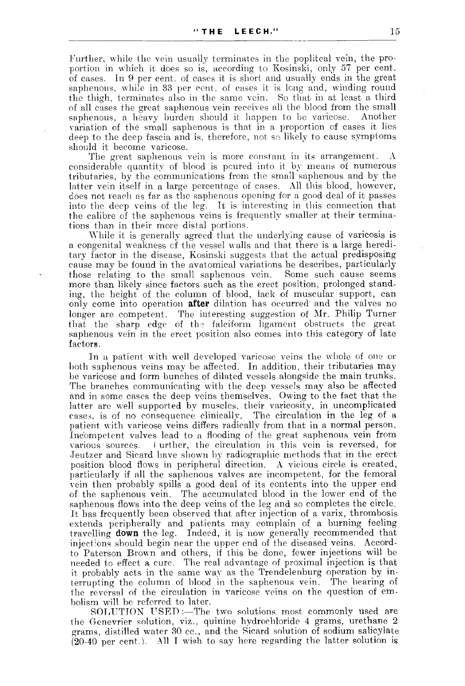Further, while the vein usually terminates in the popliteal vein, the proportion in which it does so is, according to Kosinski, only 57 per cent, of cases. In 9 per cent, of cases it is short and usually ends in the great saphenous, while in 33 per cent, of cases it is lcng and, winding round the thigh, terminates also in the same vein. So that in at least a third of all cases the great saphenous vein receives all the blood from the small saphenous, a heavy burden should it happen to be varicose. variation of the small saphenous is that in a proportion of cases it lies deep to the deep fascia and is, therefore, not so likely to cause symptoms should it become varicose.

The great saphenous vein is more constant in its arrangement. A considerable quantity of blood is poured into it by means of numerous tributaries, by the communications from the small saphenous and by the latter vein itself in a large percentage of cases. All this blood, however, does not reach as far as the saphenous opening for a good deal of it passes into the deep veins of the leg. It is interesting in this connection that the calibre of the saphenous veins is frequently smaller at their terminations than in their more distal portions.

While it is generally agreed that the underlying cause of varicosis is a congenital weakness of the vessel walls and that there is a large hereditary factor in the disease, Kosinski suggests that the actual predisposing cause may be found in the avatomical variations he describes, particularly those relating to the small saphenous vein. Some such cause seems more than likely since factors such as the erect position, prolonged standing, the height of the column of blood, lack of muscular support, can only come into operation **after** dilation has occurred' and the valves no longer are competent. The interesting suggestion of Mr. Philip Turner that the sharp edge of the falciform ligament obstructs the great saphenous vein in the erect position also comes into this category of late factors.

In a patient with well developed varicose veins the whole of one or both saphenous veins may be affected. In addition, their tributaries may be varicose and form bunches of dilated vessels alongside the main trunks. The branches communicating with the deep vessels may also be affected and in some cases the deep veins themselves. Owing to the fact that the latter are well supported by muscles, their varicosity, in uncomplicated cases, is of no consequence clinically. The circulation in the leg of a patient with varicose veins differs radically from that in a normal person. Incompetent valves lead to a flooding of the great saphenous vein from various sources. i urther, the circulation in this vein is reversed, for Jeutzer and Sicard have shown by radiographic methods that in the erect position blood flows in peripheral direction. A vicious circle is created, particularly if all the saphenous valves are incompetent, for the femoral vein then probably spills a good deal of its contents into the upper end of the saphenous vein. The accumulated blood in the lower end of the saphenous flows into the deep veins of the leg and so completes the circle. It has frequently been observed that after injection of a varix, thrombosis extends peripherally and patients may complain of a burning feeling travelling **down** the leg. Indeed, it is now generally recommended that injections should begin near the upper end of the diseased veins. Accordto Paterson Brown and others, if this be done, fewer injections will be needed to effect a cure. The real advantage of proximal injection is that it probably acts in the same way as the Trendelenburg operation by interrupting the column of blood in the saphenous vein. The bearing of the reversal of the circulation in varicose veins on the question of embolism will be referred to later.

SOLUTION USED:—The two solutions most commonly used are the Genevrier solution, viz., quinine hydrochloride 4 grams, urethane 2 grams, distilled water 30 cc., and the Sicard solution of sodium salicylate (20-40 per cent.). All I wish to say here regarding the latter solution is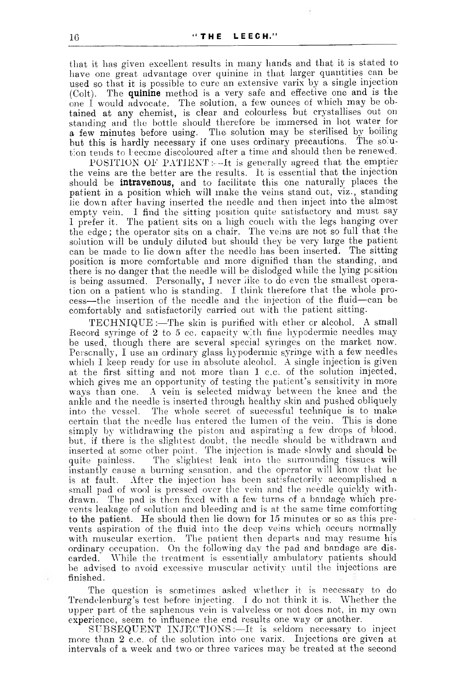that it lias given excellent results in many hands and that it is stated to have one great advantage over quinine in that larger quantities can be used so that it is possible to cure an extensive varix by a single injection (Colt). The **quinine** method is a very safe and effective one and is the one I would advocate. The solution, a few ounces of which may be obtained at any chemist, is clear and colourless but crystallises out on standing and the bottle should therefore be immersed in hot water for a few minutes before using. The solution may be sterilised by boiling but this is hardly necessary if one uses ordinary precautions. The so.ut:on tends to become discoloured after a time and should then be renewed.

POSITION OF PATIENT:--It is generally agreed that the emptier the veins are the better are the results. It is essential that the injection should be **intravenous,** and to facilitate this one naturally places the patient in a position which will make the veins stand out, viz., standing lie down after having inserted the needle and then inject into the almost empty vein. I find the sitting position quite satisfactory and must say I prefer it. The patient sits on a high couch with the legs hanging over the edge; the operator sits on a chair. The veins are not so full that the solution will be unduly diluted but should they be very large the patient can be made to lie down after the needle has been inserted. The sitting position is more comfortable and more dignified than the standing, and there is no danger that the needle will be dislodged while the lying position is being assumed. Personally, I never like to do even the smallest operation on a patient who is standing. I think therefore that the whole process—the insertion of the needle and the injection of the fluid—can be comfortably and satisfactorily carried out with the patient sitting.

TECHNIQUE :—The skin is purified with ether cr alcohol. A small Record syringe of 2 to 5 cc. capacity with fine hypodermic needles may be used, though there are several special syringes on the market now. Personally, I use an ordinary glass hypodermic syringe with a few needles which I keep ready for use in absolute alcohol. A single injection is given at the first sitting and not more than 1 c.c. of the solution injected, which gives me an opportunity of testing the patient's sensitivity in more ways than one. A vein is selected midway between the knee and the ankle and the needle is inserted through healthy skin and pushed obliquely into the vessel. The whole secret of successful technique is to make certain that the needle has entered the lumen of the vein. This is done simply by withdrawing the piston and aspirating a few drops of blood, but, if there is the slightest doubt, the needle should be withdrawn and inserted at some other point. The injection is made slowly and should be quite painless. The slightest leak into the surrounding tissues will instantly cause a burning sensation, and the operator will know that he is at fault. After the injection has been satisfactorily accomplished a small pad of wool is pressed over the vein and the needle quickly withdrawn. The pad is then fixed with a few turns of a bandage which prevents leakage of solution and bleeding and is at the same time comforting to the patient. He should then lie down for 15 minutes or so as this prevents aspiration of the fluid into the deep veins which occurs normally with muscular exertion. The patient then departs and may resume his ordinary occupation. On the following day the pad and bandage are discarded. While the treatment is essentially ambulatory patients should be advised to avoid excessive muscular activity until the injections are finished.

The question is sometimes asked whether it is necessary to do Trendelenburg's test before injecting. I do not think it is. Whether the upper part of the saphenous vein is valveless or not does not, in my own experience, seem to influence the end results one way or another.

 $SUBSEQUENT$  INJECTIONS  $:=$  It is seldom necessary to inject more than 2 c.c. of the solution into one varix. Injections are given at intervals of a week and two or three varices may be treated at the second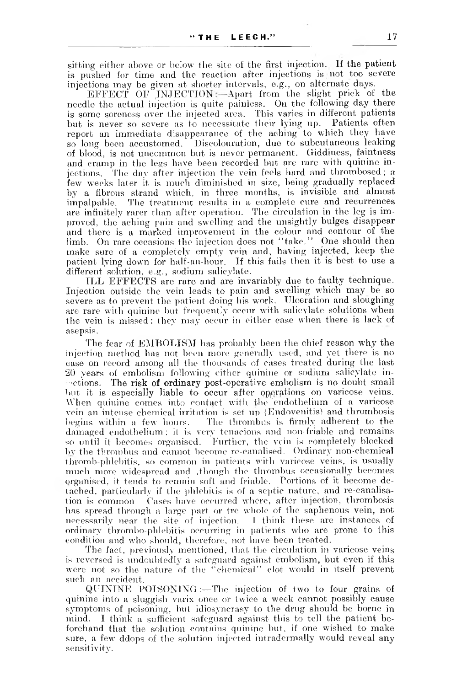sitting either above or below the site of the first injection. If the patient is pushed for time and the reaction after injections is not too severe injections may be given at shorter intervals, e.g., on alternate days.

EFFECT OF INJECTION  $\longleftarrow$  Apart from the slight prick of the needle the actual injection is quite painless. On the following day there is some soreness over the injected area. This varies in different patients but is never so severe as to necessitate their lying up. Patients often report an immediate disappearance of the aching to which they have so long been accustomed. Discolouration, due to subcutaneous leaking of blood, is not uncommon but is never permanent. Giddiness, faintness and cramp in the legs have been recorded but are rare with quinine injections. The day after injection the vein feels hard and thrombosed ; a few weeks later it is much diminished in size, being gradually replaced by a fibrous strand which, in three months, is invisible and almost impalpable. The treatment results in a complete cure and recurrences are infinitely rarer than after operation. The circulation in the leg is improved, the aching pain and swelling and the unsightly bulges disappear and there is a marked improvement in the colour and contour of the limb. On rare occasions the injection does not "take." One should then make sure of a completely empty vein and, having injected, keep the patient lying down for half-an-hour. If this fails then it is best to use a different solution, e.g., sodium salicylate.

ILL EFFECTS are rare and are invariably due to faulty technique. Injection outside the vein leads to pain and swelling which may be so severe as to prevent the patient doing his work. Ulceration and sloughing are rare with quinine but frequently occur with salicylate solutions when the vein is missed ; they may occur in either case when there is lack of asepsis.

The fear of EMBOLISM has probably been the chief reason why the injection method has not been more generally used, and yet there is no case on record among all the thousands of cases treated during the last 20 years of embolism following either quinine or sodium salicylate inactions. The risk of ordinary post-operative embolism is no doubt small but it is especially liable to occur after operations on varicose veins. When quinine comes into contact with the endothelium of a varicose vein an intense chemical irritation is set up (Endovenitis) and thrombosis begins within a few hours. The thrombus is firmly adherent to the damaged endothelium; it is very tenacious and non-friable• and remains so until it becomes organised. Further, the vein is completely blocked bv the thrombus and cannot become re-canalised. Ordinary non-chemical thromb-phlebitis, so common in patients with varicose veins, is usually much more widespread and ,though the thrombus occasionally becomes organised, it tends to remain soft and friable. Portions of it become detached, particularly if the phlebitis is of a septic nature, and re-canalisation is common Cases have occurred where, after injection, thrombosis has spread through a large part or tre whole of the saphenous vein, not necessarily near the site of injection. I think these are instances of ordinary thrombo-phlebitis occurring in patients who are prone to this condition and who should, therefore, not have been treated.

The fact, previously mentioned, that the circulation in varicose veins is reversed is undoubtedly a safeguard against embolism, but even if this were not so the nature of the "chemical" clot would in itself prevent such an accident.

QUININE POISONING :—The injection of two to four grains of quinine into a sluggish varix once or twice a week cannot possibly cause symptoms of poisoning, but idiosyncrasy to the drug should be borne in mind. I think a sufficient safeguard against this to tell the patient beforehand that the solution contains quinine but, if one wished to make sure, a few ddops of the solution injected intradermally would reveal any sensitivity.